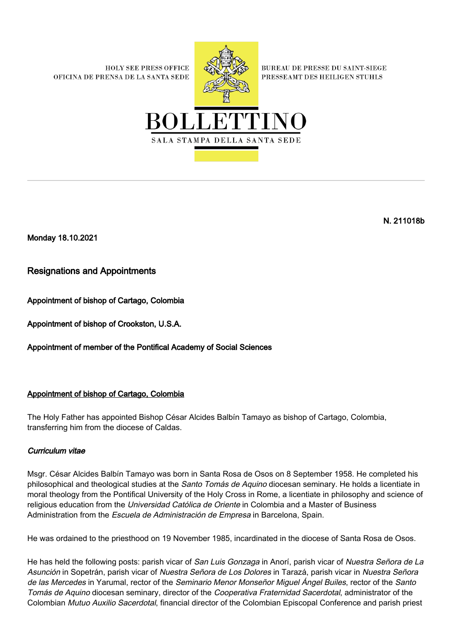**HOLY SEE PRESS OFFICE** OFICINA DE PRENSA DE LA SANTA SEDE



**BUREAU DE PRESSE DU SAINT-SIEGE** PRESSEAMT DES HEILIGEN STUHLS



Monday 18.10.2021

Resignations and Appointments

Appointment of bishop of Cartago, Colombia

Appointment of bishop of Crookston, U.S.A.

Appointment of member of the Pontifical Academy of Social Sciences

# Appointment of bishop of Cartago, Colombia

The Holy Father has appointed Bishop César Alcides Balbín Tamayo as bishop of Cartago, Colombia, transferring him from the diocese of Caldas.

# Curriculum vitae

Msgr. César Alcides Balbín Tamayo was born in Santa Rosa de Osos on 8 September 1958. He completed his philosophical and theological studies at the Santo Tomás de Aquino diocesan seminary. He holds a licentiate in moral theology from the Pontifical University of the Holy Cross in Rome, a licentiate in philosophy and science of religious education from the Universidad Católica de Oriente in Colombia and a Master of Business Administration from the *Escuela de Administración de Empresa* in Barcelona, Spain.

He was ordained to the priesthood on 19 November 1985, incardinated in the diocese of Santa Rosa de Osos.

He has held the following posts: parish vicar of San Luis Gonzaga in Anorí, parish vicar of Nuestra Señora de La Asunción in Sopetrán, parish vicar of Nuestra Señora de Los Dolores in Tarazá, parish vicar in Nuestra Señora de las Mercedes in Yarumal, rector of the Seminario Menor Monseñor Miguel Ángel Builes, rector of the Santo Tomás de Aquino diocesan seminary, director of the Cooperativa Fraternidad Sacerdotal, administrator of the Colombian Mutuo Auxilio Sacerdotal, financial director of the Colombian Episcopal Conference and parish priest

N. 211018b